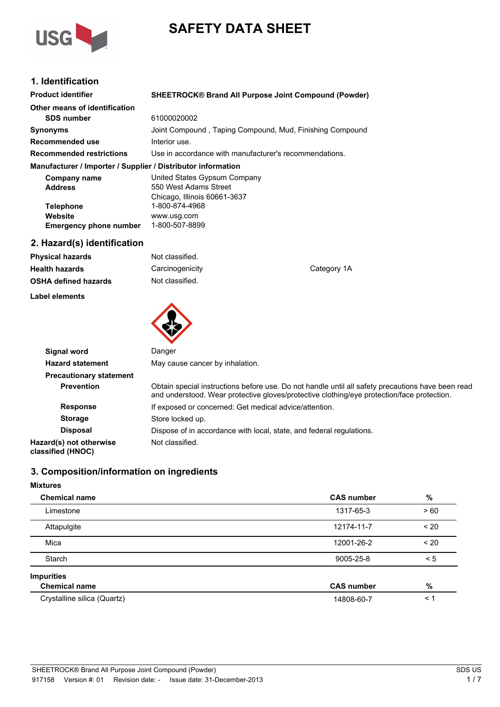

# **SAFETY DATA SHEET**

### **1. Identification**

| <b>Product identifier</b>                                    | <b>SHEETROCK® Brand All Purpose Joint Compound (Powder)</b> |  |
|--------------------------------------------------------------|-------------------------------------------------------------|--|
| Other means of identification                                |                                                             |  |
| <b>SDS number</b>                                            | 61000020002                                                 |  |
| <b>Synonyms</b>                                              | Joint Compound, Taping Compound, Mud, Finishing Compound    |  |
| Recommended use                                              | Interior use.                                               |  |
| <b>Recommended restrictions</b>                              | Use in accordance with manufacturer's recommendations.      |  |
| Manufacturer / Importer / Supplier / Distributor information |                                                             |  |
| Company name                                                 | United States Gypsum Company                                |  |
| <b>Address</b>                                               | 550 West Adams Street                                       |  |
|                                                              | Chicago, Illinois 60661-3637                                |  |
| <b>Telephone</b>                                             | 1-800-874-4968                                              |  |
| Website                                                      | www.usg.com                                                 |  |
| <b>Emergency phone number</b>                                | 1-800-507-8899                                              |  |

### **2. Hazard(s) identification**

**Label elements**

| <b>Physical hazards</b>     | Not classified. |             |
|-----------------------------|-----------------|-------------|
| <b>Health hazards</b>       | Carcinogenicity | Category 1A |
| <b>OSHA defined hazards</b> | Not classified. |             |



| Signal word                                  | Danger                                                                                                                                                                                          |
|----------------------------------------------|-------------------------------------------------------------------------------------------------------------------------------------------------------------------------------------------------|
| <b>Hazard statement</b>                      | May cause cancer by inhalation.                                                                                                                                                                 |
| <b>Precautionary statement</b>               |                                                                                                                                                                                                 |
| <b>Prevention</b>                            | Obtain special instructions before use. Do not handle until all safety precautions have been read<br>and understood. Wear protective gloves/protective clothing/eye protection/face protection. |
| <b>Response</b>                              | If exposed or concerned: Get medical advice/attention.                                                                                                                                          |
| <b>Storage</b>                               | Store locked up.                                                                                                                                                                                |
| <b>Disposal</b>                              | Dispose of in accordance with local, state, and federal regulations.                                                                                                                            |
| Hazard(s) not otherwise<br>classified (HNOC) | Not classified.                                                                                                                                                                                 |

### **3. Composition/information on ingredients**

### **Mixtures**

| <b>Chemical name</b>        | <b>CAS number</b> | $\%$     |
|-----------------------------|-------------------|----------|
| Limestone                   | 1317-65-3         | >60      |
| Attapulgite                 | 12174-11-7        | < 20     |
| Mica                        | 12001-26-2        | $~<$ 20  |
| Starch                      | 9005-25-8         | $\leq 5$ |
| <b>Impurities</b>           |                   |          |
| <b>Chemical name</b>        | <b>CAS number</b> | %        |
| Crystalline silica (Quartz) | 14808-60-7        | < 1      |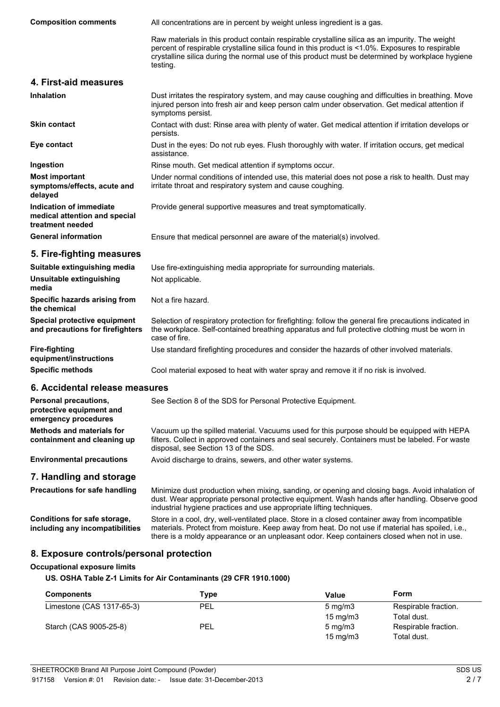**Composition comments** All concentrations are in percent by weight unless ingredient is a gas.

Raw materials in this product contain respirable crystalline silica as an impurity. The weight percent of respirable crystalline silica found in this product is <1.0%. Exposures to respirable crystalline silica during the normal use of this product must be determined by workplace hygiene testing.

#### **4. First-aid measures**

| <b>Inhalation</b>                                                            | Dust irritates the respiratory system, and may cause coughing and difficulties in breathing. Move<br>injured person into fresh air and keep person calm under observation. Get medical attention if<br>symptoms persist. |
|------------------------------------------------------------------------------|--------------------------------------------------------------------------------------------------------------------------------------------------------------------------------------------------------------------------|
| <b>Skin contact</b>                                                          | Contact with dust: Rinse area with plenty of water. Get medical attention if irritation develops or<br>persists.                                                                                                         |
| Eye contact                                                                  | Dust in the eyes: Do not rub eyes. Flush thoroughly with water. If irritation occurs, get medical<br>assistance.                                                                                                         |
| Ingestion                                                                    | Rinse mouth. Get medical attention if symptoms occur.                                                                                                                                                                    |
| <b>Most important</b><br>symptoms/effects, acute and<br>delayed              | Under normal conditions of intended use, this material does not pose a risk to health. Dust may<br>irritate throat and respiratory system and cause coughing.                                                            |
| Indication of immediate<br>medical attention and special<br>treatment needed | Provide general supportive measures and treat symptomatically.                                                                                                                                                           |
| <b>General information</b>                                                   | Ensure that medical personnel are aware of the material(s) involved.                                                                                                                                                     |
| 5. Fire-fighting measures                                                    |                                                                                                                                                                                                                          |
| Suitable extinguishing media                                                 | Use fire-extinguishing media appropriate for surrounding materials.                                                                                                                                                      |

| www.communication.com/www.com/www.com/www.com/www.com/www.com/                                                                                                                                                            |
|---------------------------------------------------------------------------------------------------------------------------------------------------------------------------------------------------------------------------|
| Not applicable.                                                                                                                                                                                                           |
| Not a fire hazard.                                                                                                                                                                                                        |
| Selection of respiratory protection for firefighting: follow the general fire precautions indicated in<br>the workplace. Self-contained breathing apparatus and full protective clothing must be worn in<br>case of fire. |
| Use standard firefighting procedures and consider the hazards of other involved materials.                                                                                                                                |
|                                                                                                                                                                                                                           |

**Specific methods** Cool material exposed to heat with water spray and remove it if no risk is involved.

#### **6. Accidental release measures**

| <b>Personal precautions,</b><br>protective equipment and<br>emergency procedures | See Section 8 of the SDS for Personal Protective Equipment.                                                                                                                                                                            |
|----------------------------------------------------------------------------------|----------------------------------------------------------------------------------------------------------------------------------------------------------------------------------------------------------------------------------------|
| <b>Methods and materials for</b><br>containment and cleaning up                  | Vacuum up the spilled material. Vacuums used for this purpose should be equipped with HEPA<br>filters. Collect in approved containers and seal securely. Containers must be labeled. For waste<br>disposal, see Section 13 of the SDS. |
| <b>Environmental precautions</b>                                                 | Avoid discharge to drains, sewers, and other water systems.                                                                                                                                                                            |
| 7. Handling and storage                                                          |                                                                                                                                                                                                                                        |
| Precautions for safe handling                                                    | Minimize dust production when mixing, sanding, or opening and closing bags. Avoid inhalation of                                                                                                                                        |

#### dust. Wear appropriate personal protective equipment. Wash hands after handling. Observe good industrial hygiene practices and use appropriate lifting techniques. **Conditions for safe storage,** Store in a cool, dry, well-ventilated place. Store in a closed container away from incompatible

**including any incompatibilities** materials. Protect from moisture. Keep away from heat. Do not use if material has spoiled, i.e., there is a moldy appearance or an unpleasant odor. Keep containers closed when not in use.

### **8. Exposure controls/personal protection**

#### **Occupational exposure limits**

**US. OSHA Table Z-1 Limits for Air Contaminants (29 CFR 1910.1000)**

| <b>Components</b>         | Type       | Value             | Form                 |
|---------------------------|------------|-------------------|----------------------|
| Limestone (CAS 1317-65-3) | <b>PEL</b> | $5 \text{ mg/m}$  | Respirable fraction. |
|                           |            | $15 \text{ mg/m}$ | Total dust.          |
| Starch (CAS 9005-25-8)    | PEL        | $5 \text{ mg/m}$  | Respirable fraction. |
|                           |            | $15 \text{ mg/m}$ | Total dust.          |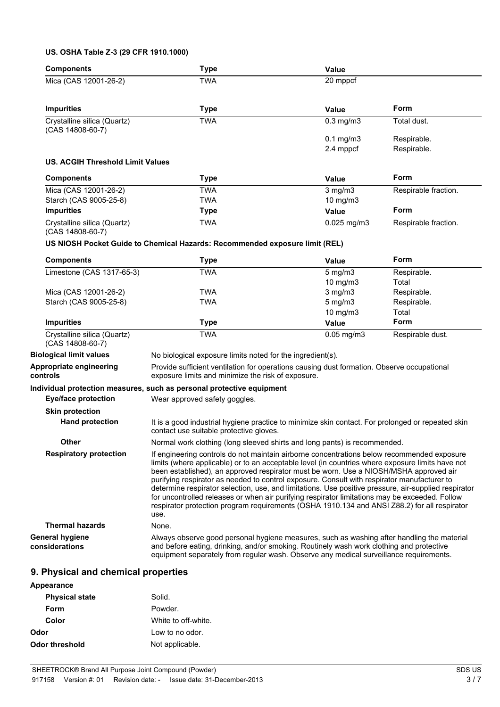### **US. OSHA Table Z-3 (29 CFR 1910.1000)**

| <b>Components</b>                               | <b>Type</b>                                                                                                                                                                                                                                                                                                                                                                                                                                                                                                                                                                                                                                                                                              | <b>Value</b>    |                      |
|-------------------------------------------------|----------------------------------------------------------------------------------------------------------------------------------------------------------------------------------------------------------------------------------------------------------------------------------------------------------------------------------------------------------------------------------------------------------------------------------------------------------------------------------------------------------------------------------------------------------------------------------------------------------------------------------------------------------------------------------------------------------|-----------------|----------------------|
| Mica (CAS 12001-26-2)                           | <b>TWA</b>                                                                                                                                                                                                                                                                                                                                                                                                                                                                                                                                                                                                                                                                                               | 20 mppcf        |                      |
| <b>Impurities</b>                               | <b>Type</b>                                                                                                                                                                                                                                                                                                                                                                                                                                                                                                                                                                                                                                                                                              | <b>Value</b>    | <b>Form</b>          |
| Crystalline silica (Quartz)<br>(CAS 14808-60-7) | <b>TWA</b>                                                                                                                                                                                                                                                                                                                                                                                                                                                                                                                                                                                                                                                                                               | $0.3$ mg/m $3$  | Total dust.          |
|                                                 |                                                                                                                                                                                                                                                                                                                                                                                                                                                                                                                                                                                                                                                                                                          | $0.1$ mg/m $3$  | Respirable.          |
|                                                 |                                                                                                                                                                                                                                                                                                                                                                                                                                                                                                                                                                                                                                                                                                          | 2.4 mppcf       | Respirable.          |
| <b>US. ACGIH Threshold Limit Values</b>         |                                                                                                                                                                                                                                                                                                                                                                                                                                                                                                                                                                                                                                                                                                          |                 |                      |
| <b>Components</b>                               | <b>Type</b>                                                                                                                                                                                                                                                                                                                                                                                                                                                                                                                                                                                                                                                                                              | <b>Value</b>    | <b>Form</b>          |
| Mica (CAS 12001-26-2)                           | <b>TWA</b>                                                                                                                                                                                                                                                                                                                                                                                                                                                                                                                                                                                                                                                                                               | $3$ mg/m $3$    | Respirable fraction. |
| Starch (CAS 9005-25-8)                          | <b>TWA</b>                                                                                                                                                                                                                                                                                                                                                                                                                                                                                                                                                                                                                                                                                               | 10 mg/m3        |                      |
| <b>Impurities</b>                               | <b>Type</b>                                                                                                                                                                                                                                                                                                                                                                                                                                                                                                                                                                                                                                                                                              | <b>Value</b>    | Form                 |
| Crystalline silica (Quartz)<br>(CAS 14808-60-7) | <b>TWA</b>                                                                                                                                                                                                                                                                                                                                                                                                                                                                                                                                                                                                                                                                                               | $0.025$ mg/m3   | Respirable fraction. |
|                                                 | US NIOSH Pocket Guide to Chemical Hazards: Recommended exposure limit (REL)                                                                                                                                                                                                                                                                                                                                                                                                                                                                                                                                                                                                                              |                 |                      |
| <b>Components</b>                               | <b>Type</b>                                                                                                                                                                                                                                                                                                                                                                                                                                                                                                                                                                                                                                                                                              | Value           | <b>Form</b>          |
| Limestone (CAS 1317-65-3)                       | <b>TWA</b>                                                                                                                                                                                                                                                                                                                                                                                                                                                                                                                                                                                                                                                                                               | 5 mg/m3         | Respirable.          |
|                                                 |                                                                                                                                                                                                                                                                                                                                                                                                                                                                                                                                                                                                                                                                                                          | 10 mg/m3        | Total                |
| Mica (CAS 12001-26-2)                           | <b>TWA</b>                                                                                                                                                                                                                                                                                                                                                                                                                                                                                                                                                                                                                                                                                               | $3$ mg/m $3$    | Respirable.          |
| Starch (CAS 9005-25-8)                          | TWA                                                                                                                                                                                                                                                                                                                                                                                                                                                                                                                                                                                                                                                                                                      | $5$ mg/m $3$    | Respirable.          |
|                                                 |                                                                                                                                                                                                                                                                                                                                                                                                                                                                                                                                                                                                                                                                                                          | 10 mg/m3        | Total                |
| <b>Impurities</b>                               | <b>Type</b>                                                                                                                                                                                                                                                                                                                                                                                                                                                                                                                                                                                                                                                                                              | <b>Value</b>    | <b>Form</b>          |
| Crystalline silica (Quartz)<br>(CAS 14808-60-7) | <b>TWA</b>                                                                                                                                                                                                                                                                                                                                                                                                                                                                                                                                                                                                                                                                                               | $0.05$ mg/m $3$ | Respirable dust.     |
| <b>Biological limit values</b>                  | No biological exposure limits noted for the ingredient(s).                                                                                                                                                                                                                                                                                                                                                                                                                                                                                                                                                                                                                                               |                 |                      |
| Appropriate engineering<br>controls             | Provide sufficient ventilation for operations causing dust formation. Observe occupational<br>exposure limits and minimize the risk of exposure.                                                                                                                                                                                                                                                                                                                                                                                                                                                                                                                                                         |                 |                      |
|                                                 | Individual protection measures, such as personal protective equipment                                                                                                                                                                                                                                                                                                                                                                                                                                                                                                                                                                                                                                    |                 |                      |
| <b>Eye/face protection</b>                      | Wear approved safety goggles.                                                                                                                                                                                                                                                                                                                                                                                                                                                                                                                                                                                                                                                                            |                 |                      |
|                                                 |                                                                                                                                                                                                                                                                                                                                                                                                                                                                                                                                                                                                                                                                                                          |                 |                      |
| <b>Skin protection</b>                          |                                                                                                                                                                                                                                                                                                                                                                                                                                                                                                                                                                                                                                                                                                          |                 |                      |
| <b>Hand protection</b>                          | It is a good industrial hygiene practice to minimize skin contact. For prolonged or repeated skin<br>contact use suitable protective gloves.                                                                                                                                                                                                                                                                                                                                                                                                                                                                                                                                                             |                 |                      |
| <b>Other</b>                                    | Normal work clothing (long sleeved shirts and long pants) is recommended.                                                                                                                                                                                                                                                                                                                                                                                                                                                                                                                                                                                                                                |                 |                      |
| <b>Respiratory protection</b>                   | If engineering controls do not maintain airborne concentrations below recommended exposure<br>limits (where applicable) or to an acceptable level (in countries where exposure limits have not<br>been established), an approved respirator must be worn. Use a NIOSH/MSHA approved air<br>purifying respirator as needed to control exposure. Consult with respirator manufacturer to<br>determine respirator selection, use, and limitations. Use positive pressure, air-supplied respirator<br>for uncontrolled releases or when air purifying respirator limitations may be exceeded. Follow<br>respirator protection program requirements (OSHA 1910.134 and ANSI Z88.2) for all respirator<br>use. |                 |                      |
| <b>Thermal hazards</b>                          | None.                                                                                                                                                                                                                                                                                                                                                                                                                                                                                                                                                                                                                                                                                                    |                 |                      |
| <b>General hygiene</b><br>considerations        | Always observe good personal hygiene measures, such as washing after handling the material<br>and before eating, drinking, and/or smoking. Routinely wash work clothing and protective<br>equipment separately from regular wash. Observe any medical surveillance requirements.                                                                                                                                                                                                                                                                                                                                                                                                                         |                 |                      |
| 9. Physical and chemical properties             |                                                                                                                                                                                                                                                                                                                                                                                                                                                                                                                                                                                                                                                                                                          |                 |                      |

| Appearance            |                     |
|-----------------------|---------------------|
| <b>Physical state</b> | Solid.              |
| Form                  | Powder.             |
| Color                 | White to off-white. |
| Odor                  | Low to no odor.     |
| Odor threshold        | Not applicable.     |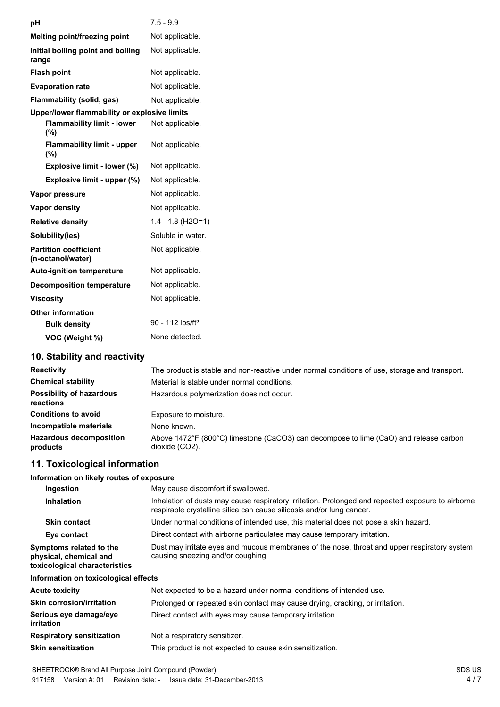| pH                                                | $7.5 - 9.9$                  |
|---------------------------------------------------|------------------------------|
| <b>Melting point/freezing point</b>               | Not applicable.              |
| Initial boiling point and boiling<br>range        | Not applicable.              |
| <b>Flash point</b>                                | Not applicable.              |
| <b>Evaporation rate</b>                           | Not applicable.              |
| Flammability (solid, gas)                         | Not applicable.              |
| Upper/lower flammability or explosive limits      |                              |
| <b>Flammability limit - lower</b><br>(%)          | Not applicable.              |
| <b>Flammability limit - upper</b><br>(%)          | Not applicable.              |
| Explosive limit - lower (%)                       | Not applicable.              |
| Explosive limit - upper (%)                       | Not applicable.              |
| Vapor pressure                                    | Not applicable.              |
| <b>Vapor density</b>                              | Not applicable.              |
| <b>Relative density</b>                           | $1.4 - 1.8$ (H2O=1)          |
| Solubility(ies)                                   | Soluble in water.            |
| <b>Partition coefficient</b><br>(n-octanol/water) | Not applicable.              |
| <b>Auto-ignition temperature</b>                  | Not applicable.              |
| <b>Decomposition temperature</b>                  | Not applicable.              |
| <b>Viscosity</b>                                  | Not applicable.              |
| <b>Other information</b>                          |                              |
| <b>Bulk density</b>                               | 90 - 112 lbs/ft <sup>3</sup> |
| VOC (Weight %)                                    | None detected.               |
| $\overline{AB}$ $\overline{BC}$<br>$-14.1 - 14.$  |                              |

### **10. Stability and reactivity**

| <b>Reactivity</b>                            | The product is stable and non-reactive under normal conditions of use, storage and transport.           |  |  |
|----------------------------------------------|---------------------------------------------------------------------------------------------------------|--|--|
| <b>Chemical stability</b>                    | Material is stable under normal conditions.                                                             |  |  |
| <b>Possibility of hazardous</b><br>reactions | Hazardous polymerization does not occur.                                                                |  |  |
| <b>Conditions to avoid</b>                   | Exposure to moisture.                                                                                   |  |  |
| Incompatible materials                       | None known.                                                                                             |  |  |
| <b>Hazardous decomposition</b><br>products   | Above 1472°F (800°C) limestone (CaCO3) can decompose to lime (CaO) and release carbon<br>dioxide (CO2). |  |  |

### **11. Toxicological information**

| Information on likely routes of exposure                                           |                                                                                                                                                                            |
|------------------------------------------------------------------------------------|----------------------------------------------------------------------------------------------------------------------------------------------------------------------------|
| Ingestion                                                                          | May cause discomfort if swallowed.                                                                                                                                         |
| <b>Inhalation</b>                                                                  | Inhalation of dusts may cause respiratory irritation. Prolonged and repeated exposure to airborne<br>respirable crystalline silica can cause silicosis and/or lung cancer. |
| <b>Skin contact</b>                                                                | Under normal conditions of intended use, this material does not pose a skin hazard.                                                                                        |
| Eye contact                                                                        | Direct contact with airborne particulates may cause temporary irritation.                                                                                                  |
| Symptoms related to the<br>physical, chemical and<br>toxicological characteristics | Dust may irritate eyes and mucous membranes of the nose, throat and upper respiratory system<br>causing sneezing and/or coughing.                                          |
| Information on toxicological effects                                               |                                                                                                                                                                            |
| Acute toxicity                                                                     | Not expected to be a hazard under normal conditions of intended use.                                                                                                       |
| Skin corrosion/irritation                                                          | Prolonged or repeated skin contact may cause drying, cracking, or irritation.                                                                                              |
| Serious eye damage/eye<br>irritation                                               | Direct contact with eyes may cause temporary irritation.                                                                                                                   |
| <b>Respiratory sensitization</b>                                                   | Not a respiratory sensitizer.                                                                                                                                              |
| Skin sensitization                                                                 | This product is not expected to cause skin sensitization.                                                                                                                  |
|                                                                                    |                                                                                                                                                                            |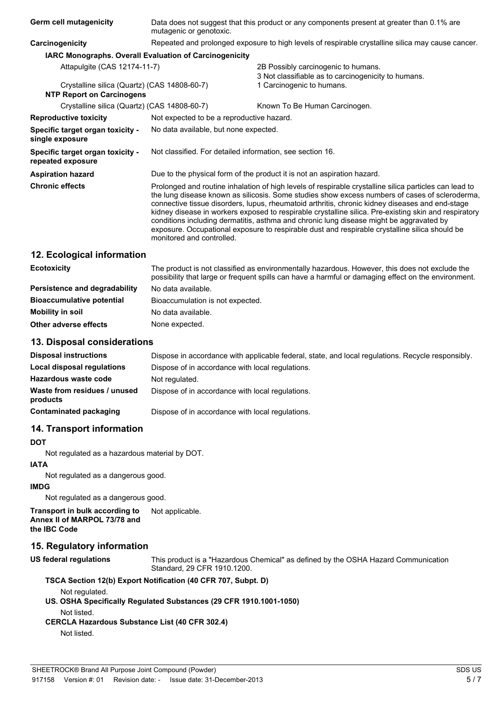| Germ cell mutagenicity                                 | Data does not suggest that this product or any components present at greater than 0.1% are<br>mutagenic or genotoxic.                                                                                                                                                                                                                                                                                                                                                                                                                                                                                                                          |                                                                                            |  |
|--------------------------------------------------------|------------------------------------------------------------------------------------------------------------------------------------------------------------------------------------------------------------------------------------------------------------------------------------------------------------------------------------------------------------------------------------------------------------------------------------------------------------------------------------------------------------------------------------------------------------------------------------------------------------------------------------------------|--------------------------------------------------------------------------------------------|--|
| Carcinogenicity                                        | Repeated and prolonged exposure to high levels of respirable crystalline silica may cause cancer.                                                                                                                                                                                                                                                                                                                                                                                                                                                                                                                                              |                                                                                            |  |
| IARC Monographs. Overall Evaluation of Carcinogenicity |                                                                                                                                                                                                                                                                                                                                                                                                                                                                                                                                                                                                                                                |                                                                                            |  |
| Attapulgite (CAS 12174-11-7)                           |                                                                                                                                                                                                                                                                                                                                                                                                                                                                                                                                                                                                                                                | 2B Possibly carcinogenic to humans.<br>3 Not classifiable as to carcinogenicity to humans. |  |
| Crystalline silica (Quartz) (CAS 14808-60-7)           |                                                                                                                                                                                                                                                                                                                                                                                                                                                                                                                                                                                                                                                | 1 Carcinogenic to humans.                                                                  |  |
| <b>NTP Report on Carcinogens</b>                       |                                                                                                                                                                                                                                                                                                                                                                                                                                                                                                                                                                                                                                                |                                                                                            |  |
| Crystalline silica (Quartz) (CAS 14808-60-7)           |                                                                                                                                                                                                                                                                                                                                                                                                                                                                                                                                                                                                                                                | Known To Be Human Carcinogen.                                                              |  |
| <b>Reproductive toxicity</b>                           | Not expected to be a reproductive hazard.                                                                                                                                                                                                                                                                                                                                                                                                                                                                                                                                                                                                      |                                                                                            |  |
| Specific target organ toxicity -<br>single exposure    | No data available, but none expected.                                                                                                                                                                                                                                                                                                                                                                                                                                                                                                                                                                                                          |                                                                                            |  |
| Specific target organ toxicity -<br>repeated exposure  | Not classified. For detailed information, see section 16.                                                                                                                                                                                                                                                                                                                                                                                                                                                                                                                                                                                      |                                                                                            |  |
| <b>Aspiration hazard</b>                               | Due to the physical form of the product it is not an aspiration hazard.                                                                                                                                                                                                                                                                                                                                                                                                                                                                                                                                                                        |                                                                                            |  |
| <b>Chronic effects</b>                                 | Prolonged and routine inhalation of high levels of respirable crystalline silica particles can lead to<br>the lung disease known as silicosis. Some studies show excess numbers of cases of scleroderma,<br>connective tissue disorders, lupus, rheumatoid arthritis, chronic kidney diseases and end-stage<br>kidney disease in workers exposed to respirable crystalline silica. Pre-existing skin and respiratory<br>conditions including dermatitis, asthma and chronic lung disease might be aggravated by<br>exposure. Occupational exposure to respirable dust and respirable crystalline silica should be<br>monitored and controlled. |                                                                                            |  |
|                                                        |                                                                                                                                                                                                                                                                                                                                                                                                                                                                                                                                                                                                                                                |                                                                                            |  |

### **12. Ecological information**

| <b>Ecotoxicity</b>               | The product is not classified as environmentally hazardous. However, this does not exclude the<br>possibility that large or frequent spills can have a harmful or damaging effect on the environment. |
|----------------------------------|-------------------------------------------------------------------------------------------------------------------------------------------------------------------------------------------------------|
| Persistence and degradability    | No data available.                                                                                                                                                                                    |
| <b>Bioaccumulative potential</b> | Bioaccumulation is not expected.                                                                                                                                                                      |
| Mobility in soil                 | No data available.                                                                                                                                                                                    |
| Other adverse effects            | None expected.                                                                                                                                                                                        |

### **13. Disposal considerations**

| <b>Disposal instructions</b>             | Dispose in accordance with applicable federal, state, and local regulations. Recycle responsibly, |
|------------------------------------------|---------------------------------------------------------------------------------------------------|
| Local disposal regulations               | Dispose of in accordance with local regulations.                                                  |
| Hazardous waste code                     | Not regulated.                                                                                    |
| Waste from residues / unused<br>products | Dispose of in accordance with local regulations.                                                  |
| <b>Contaminated packaging</b>            | Dispose of in accordance with local regulations.                                                  |

### **14. Transport information**

### **DOT**

Not regulated as a hazardous material by DOT.

## **IATA**

Not regulated as a dangerous good.

#### **IMDG**

Not regulated as a dangerous good.

**Transport in bulk according to Annex II of MARPOL 73/78 and the IBC Code** Not applicable.

### **15. Regulatory information**

**US federal regulations** This product is a "Hazardous Chemical" as defined by the OSHA Hazard Communication Standard, 29 CFR 1910.1200.

### **TSCA Section 12(b) Export Notification (40 CFR 707, Subpt. D)**

Not regulated.

**US. OSHA Specifically Regulated Substances (29 CFR 1910.1001-1050)** Not listed.

## **CERCLA Hazardous Substance List (40 CFR 302.4)**

Not listed.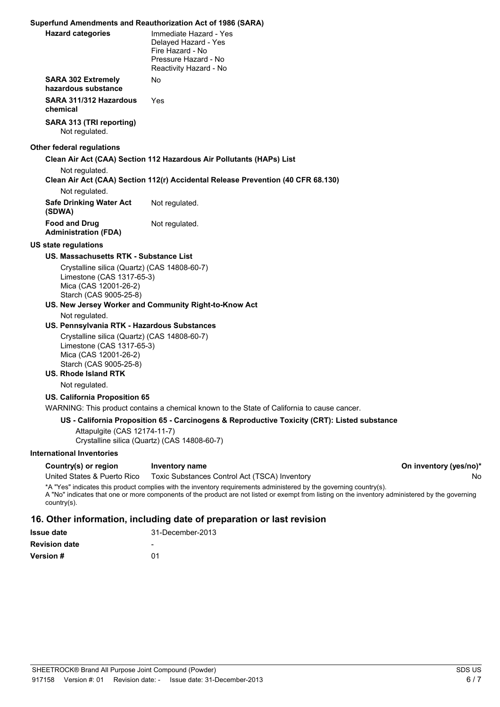### **Superfund Amendments and Reauthorization Act of 1986 (SARA)**

| <b>Hazard categories</b>                                                                                                     | Immediate Hazard - Yes<br>Delayed Hazard - Yes<br>Fire Hazard - No<br>Pressure Hazard - No<br>Reactivity Hazard - No                                                                                                                                                   |                        |
|------------------------------------------------------------------------------------------------------------------------------|------------------------------------------------------------------------------------------------------------------------------------------------------------------------------------------------------------------------------------------------------------------------|------------------------|
| <b>SARA 302 Extremely</b><br>hazardous substance                                                                             | No                                                                                                                                                                                                                                                                     |                        |
| SARA 311/312 Hazardous<br>chemical                                                                                           | Yes                                                                                                                                                                                                                                                                    |                        |
| SARA 313 (TRI reporting)<br>Not regulated.                                                                                   |                                                                                                                                                                                                                                                                        |                        |
| <b>Other federal regulations</b>                                                                                             |                                                                                                                                                                                                                                                                        |                        |
| Not regulated.                                                                                                               | Clean Air Act (CAA) Section 112 Hazardous Air Pollutants (HAPs) List                                                                                                                                                                                                   |                        |
| Not regulated.                                                                                                               | Clean Air Act (CAA) Section 112(r) Accidental Release Prevention (40 CFR 68.130)                                                                                                                                                                                       |                        |
| <b>Safe Drinking Water Act</b><br>(SDWA)                                                                                     | Not regulated.                                                                                                                                                                                                                                                         |                        |
| <b>Food and Drug</b><br><b>Administration (FDA)</b>                                                                          | Not regulated.                                                                                                                                                                                                                                                         |                        |
| <b>US state regulations</b>                                                                                                  |                                                                                                                                                                                                                                                                        |                        |
| US. Massachusetts RTK - Substance List                                                                                       |                                                                                                                                                                                                                                                                        |                        |
| Crystalline silica (Quartz) (CAS 14808-60-7)<br>Limestone (CAS 1317-65-3)<br>Mica (CAS 12001-26-2)<br>Starch (CAS 9005-25-8) |                                                                                                                                                                                                                                                                        |                        |
|                                                                                                                              | US. New Jersey Worker and Community Right-to-Know Act                                                                                                                                                                                                                  |                        |
| Not regulated.                                                                                                               |                                                                                                                                                                                                                                                                        |                        |
| US. Pennsylvania RTK - Hazardous Substances                                                                                  |                                                                                                                                                                                                                                                                        |                        |
| Crystalline silica (Quartz) (CAS 14808-60-7)<br>Limestone (CAS 1317-65-3)<br>Mica (CAS 12001-26-2)<br>Starch (CAS 9005-25-8) |                                                                                                                                                                                                                                                                        |                        |
| <b>US. Rhode Island RTK</b>                                                                                                  |                                                                                                                                                                                                                                                                        |                        |
| Not regulated.                                                                                                               |                                                                                                                                                                                                                                                                        |                        |
| US. California Proposition 65                                                                                                |                                                                                                                                                                                                                                                                        |                        |
|                                                                                                                              | WARNING: This product contains a chemical known to the State of California to cause cancer.                                                                                                                                                                            |                        |
|                                                                                                                              | US - California Proposition 65 - Carcinogens & Reproductive Toxicity (CRT): Listed substance                                                                                                                                                                           |                        |
| Attapulgite (CAS 12174-11-7)                                                                                                 | Crystalline silica (Quartz) (CAS 14808-60-7)                                                                                                                                                                                                                           |                        |
| <b>International Inventories</b>                                                                                             |                                                                                                                                                                                                                                                                        |                        |
| Country(s) or region                                                                                                         | Inventory name                                                                                                                                                                                                                                                         | On inventory (yes/no)* |
| United States & Puerto Rico                                                                                                  | Toxic Substances Control Act (TSCA) Inventory                                                                                                                                                                                                                          | No                     |
| country(s).                                                                                                                  | *A "Yes" indicates this product complies with the inventory requirements administered by the governing country(s).<br>A "No" indicates that one or more components of the product are not listed or exempt from listing on the inventory administered by the governing |                        |

### **16. Other information, including date of preparation or last revision**

| 31-December-2013 |
|------------------|
|                  |
| በ1               |
|                  |